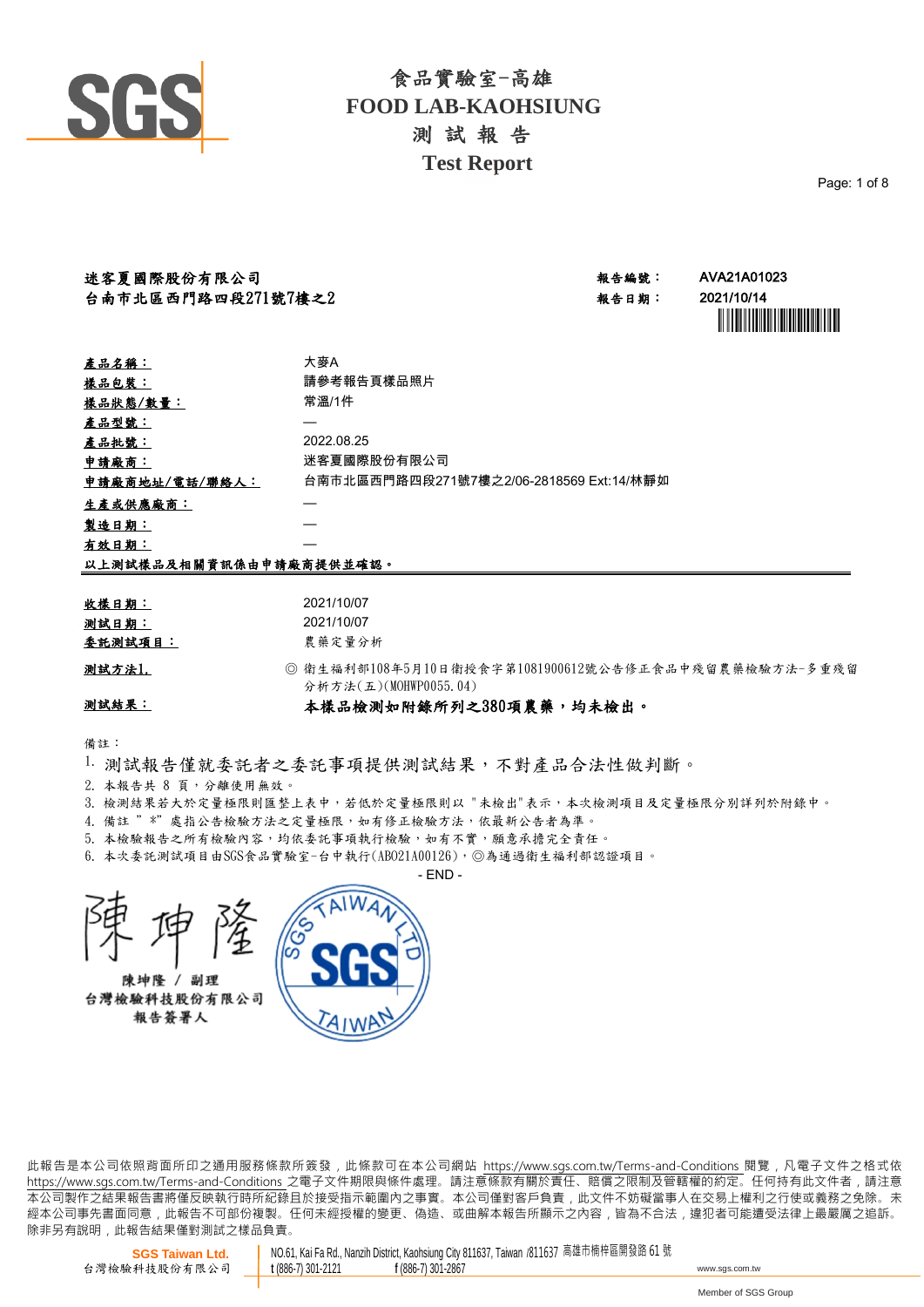

Page: 1 of 8

| 迷客夏國際股份有限公司        | 報告編號  | AVA21A01023 |
|--------------------|-------|-------------|
| 台南市北區西門路四段271號7樓之2 | 報告日期: | 2021/10/14  |

| ·编號: | AVA21A01023                    |
|------|--------------------------------|
| ·日期: | 2021/10/14                     |
|      | <u> Harry Harry Harry Hall</u> |

| 產品名稱:                   | 大麥A                                      |
|-------------------------|------------------------------------------|
| <u>樣品包裝:</u>            | 請參考報告頁樣品照片                               |
| 樣品狀態/數量:                | 常溫/1件                                    |
| 產品型號:                   |                                          |
| 產品批號:                   | 2022.08.25                               |
| 申請廠商:                   | 迷客夏國際股份有限公司                              |
| 申請廠商地址/電話/聯絡人:          | 台南市北區西門路四段271號7樓之2/06-2818569 Ext:14/林靜如 |
| 生產或供應廠商:                |                                          |
| 製造日期:                   |                                          |
| 有效日期:                   |                                          |
| 以上測試樣品及相關資訊係由申請廠商提供並確認。 |                                          |

| 收樣日期:   | 2021/10/07  |
|---------|-------------|
| 测試日期:   | 2021/10/07  |
| 委託測試項目: | 農藥定量分析      |
| 测試方法1.  | ◎ 衛生福利部1084 |

年5月10日衛授食字第1081900612號公告修正食品中殘留農藥檢驗方法-多重殘留 分析方法(五)(MOHWP0055.04)

## 測試結果:

## 本樣品檢測如附錄所列之380項農藥,均未檢出。

備註:

- 1. 測試報告僅就委託者之委託事項提供測試結果,不對產品合法性做判斷。
- 2. 本報告共 8 頁,分離使用無效。
- 3. 檢測結果若大於定量極限則医整上表中,若低於定量極限則以 "未檢出"表示,本次檢測項目及定量極限分別詳列於附錄中。
- 4. 備註 " \*"處指公告檢驗方法之定量極限,如有修正檢驗方法,依最新公告者為準。
- 5. 本檢驗報告之所有檢驗內容,均依委託事項執行檢驗,如有不實,願意承擔完全責任。
- 本次委託測試項目由SGS食品實驗室-台中執行(ABO21A00126),◎為通過衛生福利部認證項目。 6.

 $-$  FND  $-$ 

陳坤隆 / 副理 台灣檢驗科技股份有限公司

報告簽署人



此報告是本公司依照背面所印之通用服務條款所簽發,此條款可在本公司網站 https://www.sgs.com.tw/Terms-and-Conditions 閱覽,凡電子文件之格式依 https://www.sas.com.tw/Terms-and-Conditions 之電子文件期限與條件處理。請注意條款有關於責任、賠償之限制及管轄權的約定。任何持有此文件者,請注意 .<br> 本公司製作之結果報告書將僅反映執行時所紀錄且於接受指示範圍內之事實。本公司僅對客戶負責, 此文件不妨礙當事人在交易上權利之行使或義務之免除。未 經本公司事先書面同意,此報告不可部份複製。任何未經授權的變更、偽造、或曲解本報告所顯示之內容,皆為不合法,違犯者可能遭受法律上最嚴厲之追訴。 除非另有說明, 此報告結果僅對測試之樣品負責。

**SGS Taiwan Ltd.** 台灣檢驗科技股份有限公司 NO.61, Kai Fa Rd., Nanzih District, Kaohsiung City 811637, Taiwan /811637 高雄市楠梓區開發路 61 號 **<sup>t</sup>** (886-7) 301-2121 **<sup>f</sup>** (886-7) 301-2867 www.sgs.com.tw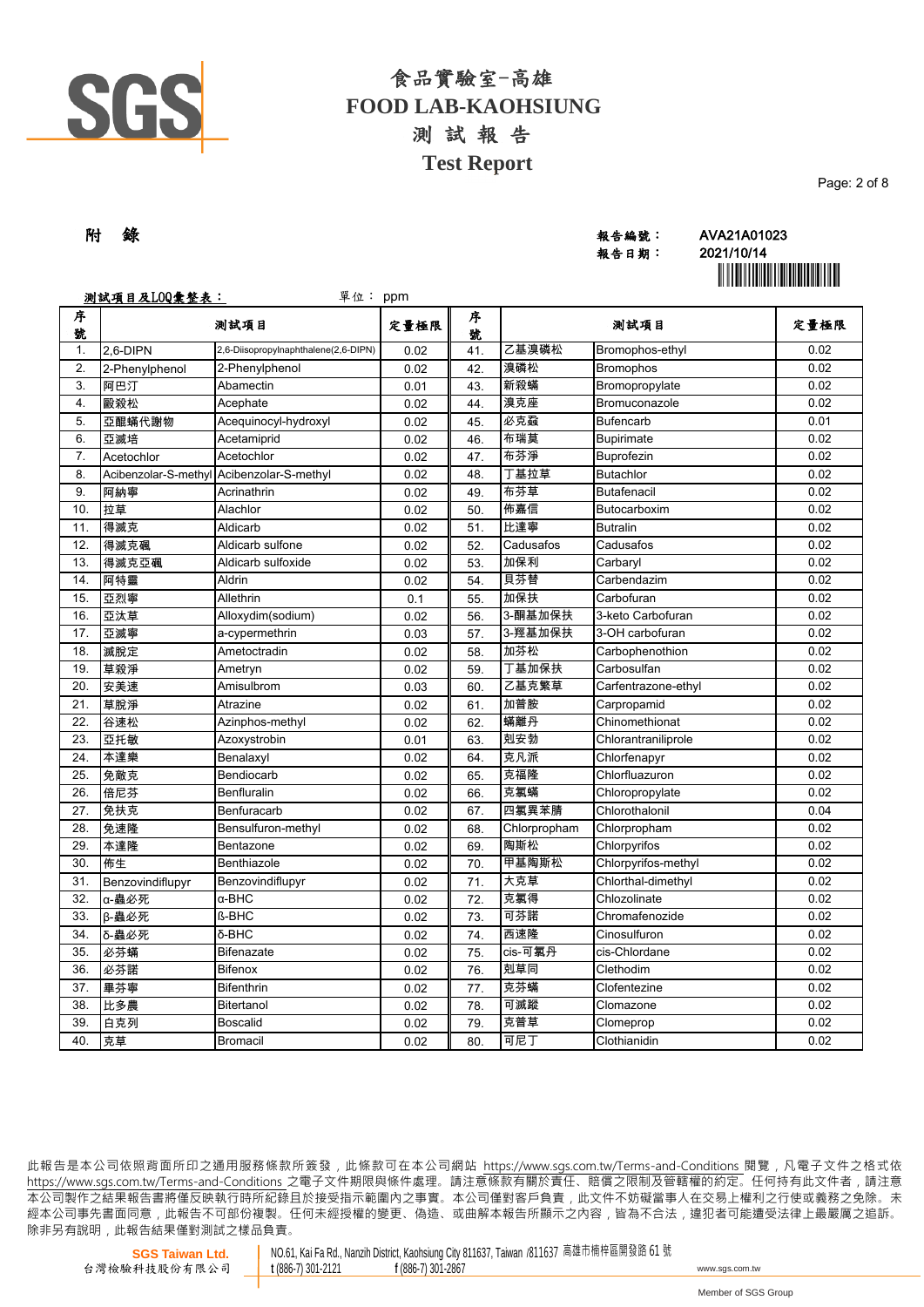

| 附 錄 |  | 報告編號: | AVA21A01023            |
|-----|--|-------|------------------------|
|     |  | 報告日期: | 2021/10/14             |
|     |  |       | ,,,,,,,,,,,,,,,,,,,,,, |

報告日期: 2021/10/14 **`** 

|        | 测試項目及LOQ彙整表:<br>單位: ppm |                                           |      |        |              |                     |      |
|--------|-------------------------|-------------------------------------------|------|--------|--------------|---------------------|------|
| 序<br>號 |                         | 测試項目                                      | 定量極限 | 序<br>號 |              | 測試項目                | 定量極限 |
| 1.     | 2,6-DIPN                | 2,6-Diisopropylnaphthalene(2,6-DIPN)      | 0.02 | 41.    | 乙基溴磷松        | Bromophos-ethyl     | 0.02 |
| 2.     | 2-Phenylphenol          | 2-Phenylphenol                            | 0.02 | 42.    | 溴磷松          | <b>Bromophos</b>    | 0.02 |
| 3.     | 阿巴汀                     | Abamectin                                 | 0.01 | 43.    | 新殺蟎          | Bromopropylate      | 0.02 |
| 4.     | 毆殺松                     | Acephate                                  | 0.02 | 44.    | 溴克座          | Bromuconazole       | 0.02 |
| 5.     | 亞醌蟎代謝物                  | Acequinocyl-hydroxyl                      | 0.02 | 45.    | 必克蝨          | <b>Bufencarb</b>    | 0.01 |
| 6.     | 亞滅培                     | Acetamiprid                               | 0.02 | 46.    | 布瑞莫          | Bupirimate          | 0.02 |
| 7.     | Acetochlor              | Acetochlor                                | 0.02 | 47.    | 布芬淨          | <b>Buprofezin</b>   | 0.02 |
| 8.     |                         | Acibenzolar-S-methyl Acibenzolar-S-methyl | 0.02 | 48.    | 丁基拉草         | <b>Butachlor</b>    | 0.02 |
| 9.     | 阿納寧                     | Acrinathrin                               | 0.02 | 49.    | 布芬草          | Butafenacil         | 0.02 |
| 10.    | 拉草                      | Alachlor                                  | 0.02 | 50.    | 佈嘉信          | Butocarboxim        | 0.02 |
| 11.    | 得滅克                     | Aldicarb                                  | 0.02 | 51.    | 比達寧          | <b>Butralin</b>     | 0.02 |
| 12.    | 得滅克碸                    | Aldicarb sulfone                          | 0.02 | 52.    | Cadusafos    | Cadusafos           | 0.02 |
| 13.    | 得滅克亞碸                   | Aldicarb sulfoxide                        | 0.02 | 53.    | 加保利          | Carbaryl            | 0.02 |
| 14.    | 阿特靈                     | Aldrin                                    | 0.02 | 54.    | 貝芬替          | Carbendazim         | 0.02 |
| 15.    | 亞烈寧                     | Allethrin                                 | 0.1  | 55.    | 加保扶          | Carbofuran          | 0.02 |
| 16.    | 亞汰草                     | Alloxydim(sodium)                         | 0.02 | 56.    | 3-酮基加保扶      | 3-keto Carbofuran   | 0.02 |
| 17.    | 亞滅寧                     | a-cypermethrin                            | 0.03 | 57.    | 3-羥基加保扶      | 3-OH carbofuran     | 0.02 |
| 18.    | 滅脫定                     | Ametoctradin                              | 0.02 | 58.    | 加芬松          | Carbophenothion     | 0.02 |
| 19.    | 草殺淨                     | Ametryn                                   | 0.02 | 59.    | 丁基加保扶        | Carbosulfan         | 0.02 |
| 20.    | 安美速                     | Amisulbrom                                | 0.03 | 60.    | 乙基克繁草        | Carfentrazone-ethyl | 0.02 |
| 21.    | 草脫淨                     | Atrazine                                  | 0.02 | 61.    | 加普胺          | Carpropamid         | 0.02 |
| 22.    | 谷速松                     | Azinphos-methyl                           | 0.02 | 62.    | 蟎離丹          | Chinomethionat      | 0.02 |
| 23.    | 亞托敏                     | Azoxystrobin                              | 0.01 | 63.    | 剋安勃          | Chlorantraniliprole | 0.02 |
| 24.    | 本達樂                     | Benalaxyl                                 | 0.02 | 64.    | 克凡派          | Chlorfenapyr        | 0.02 |
| 25.    | 免敵克                     | Bendiocarb                                | 0.02 | 65.    | 克福隆          | Chlorfluazuron      | 0.02 |
| 26.    | 倍尼芬                     | <b>Benfluralin</b>                        | 0.02 | 66.    | 克氯蟎          | Chloropropylate     | 0.02 |
| 27.    | 免扶克                     | Benfuracarb                               | 0.02 | 67.    | 四氯異苯腈        | Chlorothalonil      | 0.04 |
| 28.    | 免速隆                     | Bensulfuron-methyl                        | 0.02 | 68.    | Chlorpropham | Chlorpropham        | 0.02 |
| 29.    | 本達隆                     | Bentazone                                 | 0.02 | 69.    | 陶斯松          | Chlorpyrifos        | 0.02 |
| 30.    | 佈生                      | Benthiazole                               | 0.02 | 70.    | 甲基陶斯松        | Chlorpyrifos-methyl | 0.02 |
| 31.    | Benzovindiflupyr        | Benzovindiflupyr                          | 0.02 | 71.    | 大克草          | Chlorthal-dimethyl  | 0.02 |
| 32.    | α-蟲必死                   | α-BHC                                     | 0.02 | 72.    | 克氯得          | Chlozolinate        | 0.02 |
| 33.    | β-蟲必死                   | <b>ß-BHC</b>                              | 0.02 | 73.    | 可芬諾          | Chromafenozide      | 0.02 |
| 34.    | δ-蟲必死                   | δ-BHC                                     | 0.02 | 74.    | 西速降          | Cinosulfuron        | 0.02 |
| 35.    | 必芬蟎                     | <b>Bifenazate</b>                         | 0.02 | 75.    | cis-可氯丹      | cis-Chlordane       | 0.02 |
| 36.    | 必芬諾                     | <b>Bifenox</b>                            | 0.02 | 76.    | 剋草同          | Clethodim           | 0.02 |
| 37.    | 畢芬寧                     | <b>Bifenthrin</b>                         | 0.02 | 77.    | 克芬蟎          | Clofentezine        | 0.02 |
| 38.    | 比多農                     | Bitertanol                                | 0.02 | 78.    | 可滅蹤          | Clomazone           | 0.02 |
| 39.    | 白克列                     | <b>Boscalid</b>                           | 0.02 | 79.    | 克普草          | Clomeprop           | 0.02 |
| 40.    | 克草                      | <b>Bromacil</b>                           | 0.02 | 80.    | 可尼丁          | Clothianidin        | 0.02 |

此報告是本公司依照背面所印之通用服務條款所簽發,此條款可在本公司網站 https://www.sgs.com.tw/Terms-and-Conditions 閱覽,凡電子文件之格式依 https://www.sas.com.tw/Terms-and-Conditions 之電子文件期限與條件處理。請注意條款有關於責任、賠償之限制及管轄權的約定。任何持有此文件者,請注意 .<br> 本公司製作之結果報告書將僅反映執行時所紀錄且於接受指示範圍內之事實。本公司僅對客戶負責, 此文件不妨礙當事人在交易上權利之行使或義務之免除。未 經本公司事先書面同意,此報告不可部份複製。任何未經授權的變更、偽造、或曲解本報告所顯示之內容,皆為不合法,違犯者可能遭受法律上最嚴厲之追訴。 除非另有說明, 此報告結果僅對測試之樣品負責。

NO.61, Kai Fa Rd., Nanzih District, Kaohsiung City 811637, Taiwan /811637 高雄市楠梓區開發路 61 號<br>t (886-7) 301-2121 f (886-7) 301-2867 **<sup>t</sup>** (886-7) 301-2121 **<sup>f</sup>** (886-7) 301-2867 www.sgs.com.tw

Page: 2 of 8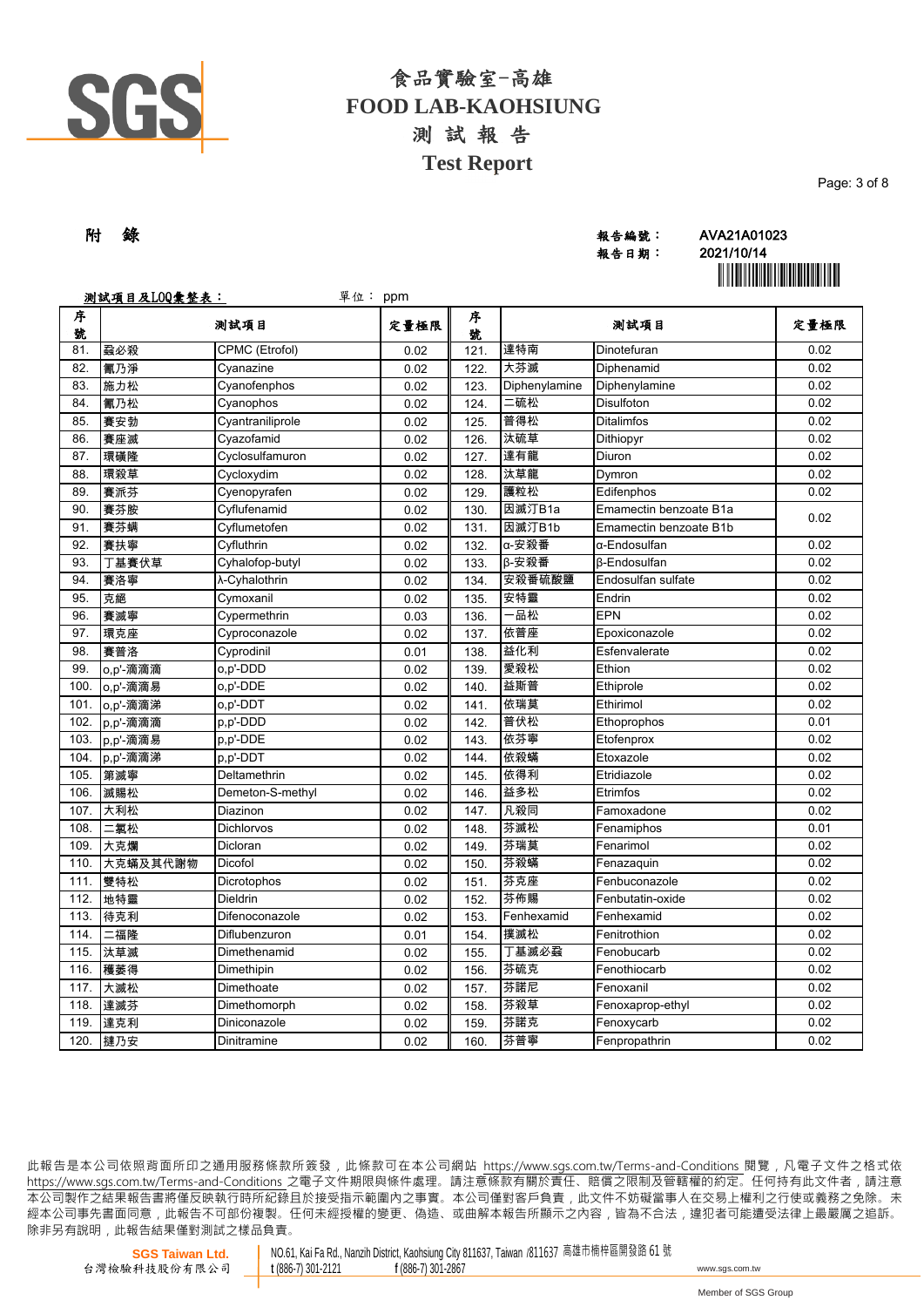

| 附 錄 | 報告編號: | AVA21A01023 |
|-----|-------|-------------|
|     | 報告日期: | 2021/10/14  |
|     |       |             |

報告日期: 2021/10/14 **`** 

Page: 3 of 8

|        | 测試項目及LOQ彙整表:<br>單位: ppm |                  |      |        |               |                        |      |
|--------|-------------------------|------------------|------|--------|---------------|------------------------|------|
| 序<br>號 |                         | 测試項目             | 定量極限 | 序<br>號 |               | 測試項目                   | 定量極限 |
| 81.    | 蝨必殺                     | CPMC (Etrofol)   | 0.02 | 121.   | 達特南           | Dinotefuran            | 0.02 |
| 82.    | 氰乃淨                     | Cyanazine        | 0.02 | 122.   | 大芬滅           | Diphenamid             | 0.02 |
| 83.    | 施力松                     | Cyanofenphos     | 0.02 | 123.   | Diphenylamine | Diphenylamine          | 0.02 |
| 84.    | 氰乃松                     | Cyanophos        | 0.02 | 124.   | ニ硫松           | Disulfoton             | 0.02 |
| 85.    | 賽安勃                     | Cyantraniliprole | 0.02 | 125.   | 普得松           | <b>Ditalimfos</b>      | 0.02 |
| 86.    | 賽座滅                     | Cyazofamid       | 0.02 | 126.   | 汰硫草           | Dithiopyr              | 0.02 |
| 87.    | 環磺隆                     | Cyclosulfamuron  | 0.02 | 127.   | 達有龍           | Diuron                 | 0.02 |
| 88.    | 環殺草                     | Cycloxydim       | 0.02 | 128.   | 汰草龍           | Dymron                 | 0.02 |
| 89.    | 賽派芬                     | Cyenopyrafen     | 0.02 | 129.   | 護粒松           | Edifenphos             | 0.02 |
| 90.    | 賽芬胺                     | Cyflufenamid     | 0.02 | 130.   | 因滅汀B1a        | Emamectin benzoate B1a | 0.02 |
| 91.    | 賽芬螨                     | Cyflumetofen     | 0.02 | 131.   | 因滅汀B1b        | Emamectin benzoate B1b |      |
| 92.    | 賽扶寧                     | Cyfluthrin       | 0.02 | 132.   | α-安殺番         | α-Endosulfan           | 0.02 |
| 93.    | 丁基賽伏草                   | Cyhalofop-butyl  | 0.02 | 133.   | B-安殺番         | <b>B-Endosulfan</b>    | 0.02 |
| 94.    | 賽洛寧                     | λ-Cyhalothrin    | 0.02 | 134.   | 安殺番硫酸鹽        | Endosulfan sulfate     | 0.02 |
| 95.    | 克絕                      | Cymoxanil        | 0.02 | 135.   | 安特靈           | Endrin                 | 0.02 |
| 96.    | 賽滅寧                     | Cypermethrin     | 0.03 | 136.   | 品松            | EPN                    | 0.02 |
| 97.    | 環克座                     | Cyproconazole    | 0.02 | 137.   | 依普座           | Epoxiconazole          | 0.02 |
| 98.    | 賽普洛                     | Cyprodinil       | 0.01 | 138.   | 益化利           | Esfenvalerate          | 0.02 |
| 99.    | o,p'-滴滴滴                | o,p'-DDD         | 0.02 | 139.   | 愛殺松           | Ethion                 | 0.02 |
| 100.   | o,p'-滴滴易                | o,p'-DDE         | 0.02 | 140.   | 益斯普           | Ethiprole              | 0.02 |
| 101.   | o,p'-滴滴涕                | o,p'-DDT         | 0.02 | 141.   | 依瑞莫           | Ethirimol              | 0.02 |
| 102.   | p,p'-滴滴滴                | p,p'-DDD         | 0.02 | 142.   | 普伏松           | Ethoprophos            | 0.01 |
| 103.   | p,p'-滴滴易                | p,p'-DDE         | 0.02 | 143.   | 依芬寧           | Etofenprox             | 0.02 |
| 104.   | p,p'-滴滴涕                | p.p'-DDT         | 0.02 | 144.   | 依殺蟎           | Etoxazole              | 0.02 |
| 105.   | 第滅寧                     | Deltamethrin     | 0.02 | 145.   | 依得利           | Etridiazole            | 0.02 |
| 106.   | 滅賜松                     | Demeton-S-methyl | 0.02 | 146.   | 益多松           | Etrimfos               | 0.02 |
| 107.   | 大利松                     | Diazinon         | 0.02 | 147.   | 凡殺同           | Famoxadone             | 0.02 |
| 108.   | 氯松                      | Dichlorvos       | 0.02 | 148.   | 芬滅松           | Fenamiphos             | 0.01 |
| 109.   | 大克爛                     | Dicloran         | 0.02 | 149.   | 芬瑞莫           | Fenarimol              | 0.02 |
| 110.   | 大克蟎及其代謝物                | Dicofol          | 0.02 | 150.   | 芬殺蟎           | Fenazaquin             | 0.02 |
| 111.   | 雙特松                     | Dicrotophos      | 0.02 | 151.   | 芬克座           | Fenbuconazole          | 0.02 |
| 112.   | 地特靈                     | Dieldrin         | 0.02 | 152.   | 芬佈賜           | Fenbutatin-oxide       | 0.02 |
| 113.   | 待克利                     | Difenoconazole   | 0.02 | 153.   | Fenhexamid    | Fenhexamid             | 0.02 |
| 114.   | 二福隆                     | Diflubenzuron    | 0.01 | 154.   | 撲滅松           | Fenitrothion           | 0.02 |
| 115.   | 汰草滅                     | Dimethenamid     | 0.02 | 155.   | 丁基滅必蝨         | Fenobucarb             | 0.02 |
| 116.   | 穫萎得                     | Dimethipin       | 0.02 | 156.   | 芬硫克           | Fenothiocarb           | 0.02 |
| 117.   | 大滅松                     | Dimethoate       | 0.02 | 157.   | 芬諾尼           | Fenoxanil              | 0.02 |
| 118.   | 達滅芬                     | Dimethomorph     | 0.02 | 158.   | 芬殺草           | Fenoxaprop-ethyl       | 0.02 |
| 119.   | 達克利                     | Diniconazole     | 0.02 | 159.   | 芬諾克           | Fenoxycarb             | 0.02 |
| 120.   | 撻乃安                     | Dinitramine      | 0.02 | 160.   | 芬普寧           | Fenpropathrin          | 0.02 |

此報告是本公司依照背面所印之通用服務條款所簽發,此條款可在本公司網站 https://www.sgs.com.tw/Terms-and-Conditions 閱覽,凡電子文件之格式依 https://www.sas.com.tw/Terms-and-Conditions 之電子文件期限與條件處理。請注意條款有關於責任、賠償之限制及管轄權的約定。任何持有此文件者,請注意 .<br> 本公司製作之結果報告書將僅反映執行時所紀錄且於接受指示範圍內之事實。本公司僅對客戶負責, 此文件不妨礙當事人在交易上權利之行使或義務之免除。未 經本公司事先書面同意,此報告不可部份複製。任何未經授權的變更、偽造、或曲解本報告所顯示之內容,皆為不合法,違犯者可能遭受法律上最嚴厲之追訴。 除非另有說明, 此報告結果僅對測試之樣品負責。

NO.61, Kai Fa Rd., Nanzih District, Kaohsiung City 811637, Taiwan /811637 高雄市楠梓區開發路 61 號<br>t (886-7) 301-2121 f (886-7) 301-2867 **<sup>t</sup>** (886-7) 301-2121 **<sup>f</sup>** (886-7) 301-2867 www.sgs.com.tw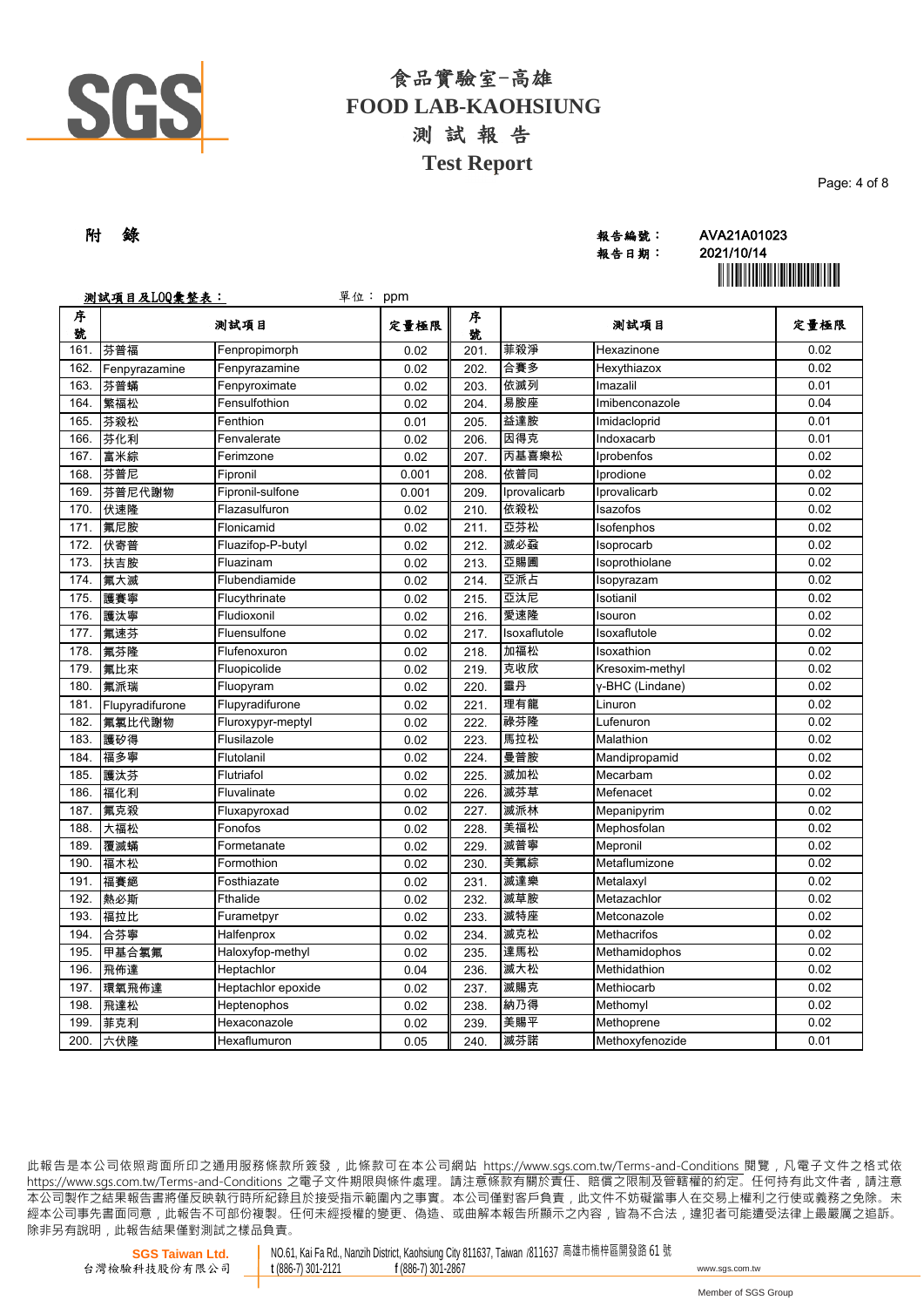

| 附 錄 |  | 報告編號: | AVA21A01023            |
|-----|--|-------|------------------------|
|     |  | 報告日期: | 2021/10/14             |
|     |  |       | ,,,,,,,,,,,,,,,,,,,,,, |

報告日期: 2021/10/14 **`** 

Page: 4 of 8

|        | 测試項目及LOQ彙整表:<br>單位: ppm |                    |       |        |              |                    |      |
|--------|-------------------------|--------------------|-------|--------|--------------|--------------------|------|
| 序<br>號 |                         | 测試項目               | 定量極限  | 序<br>號 |              | 测試項目               | 定量極限 |
| 161.   | 芬普福                     | Fenpropimorph      | 0.02  | 201.   | 菲殺淨          | Hexazinone         | 0.02 |
| 162.   | Fenpyrazamine           | Fenpyrazamine      | 0.02  | 202.   | 合賽多          | Hexythiazox        | 0.02 |
| 163.   | 芬普蟎                     | Fenpyroximate      | 0.02  | 203.   | 依滅列          | Imazalil           | 0.01 |
| 164.   | 繁福松                     | Fensulfothion      | 0.02  | 204.   | 易胺座          | Imibenconazole     | 0.04 |
| 165.   | 芬殺松                     | Fenthion           | 0.01  | 205.   | 益達胺          | Imidacloprid       | 0.01 |
| 166.   | 芬化利                     | Fenvalerate        | 0.02  | 206    | 因得克          | Indoxacarb         | 0.01 |
| 167.   | 富米綜                     | Ferimzone          | 0.02  | 207.   | 丙基喜樂松        | Iprobenfos         | 0.02 |
| 168.   | 芬普尼                     | Fipronil           | 0.001 | 208.   | 依普同          | Iprodione          | 0.02 |
| 169.   | 芬普尼代謝物                  | Fipronil-sulfone   | 0.001 | 209.   | Iprovalicarb | Iprovalicarb       | 0.02 |
| 170.   | 伏速隆                     | Flazasulfuron      | 0.02  | 210.   | 依殺松          | Isazofos           | 0.02 |
| 171.   | 氟尼胺                     | Flonicamid         | 0.02  | 211.   | 亞芬松          | Isofenphos         | 0.02 |
| 172.   | 伏寄普                     | Fluazifop-P-butyl  | 0.02  | 212.   | 滅必蝨          | Isoprocarb         | 0.02 |
| 173.   | 扶吉胺                     | Fluazinam          | 0.02  | 213.   | 亞賜圃          | Isoprothiolane     | 0.02 |
| 174.   | 氟大滅                     | Flubendiamide      | 0.02  | 214.   | 亞派占          | Isopyrazam         | 0.02 |
| 175.   | 護賽寧                     | Flucythrinate      | 0.02  | 215.   | 亞汰尼          | Isotianil          | 0.02 |
| 176.   | 護汰寧                     | Fludioxonil        | 0.02  | 216.   | 愛速隆          | Isouron            | 0.02 |
| 177.   | 氟速芬                     | Fluensulfone       | 0.02  | 217.   | Isoxaflutole | Isoxaflutole       | 0.02 |
| 178.   | 氟芬隆                     | Flufenoxuron       | 0.02  | 218.   | 加福松          | Isoxathion         | 0.02 |
| 179.   | 氟比來                     | Fluopicolide       | 0.02  | 219.   | 克收欣          | Kresoxim-methyl    | 0.02 |
| 180.   | 氟派瑞                     | Fluopyram          | 0.02  | 220.   | 靈丹           | y-BHC (Lindane)    | 0.02 |
| 181.   | Flupyradifurone         | Flupyradifurone    | 0.02  | 221.   | 理有龍          | Linuron            | 0.02 |
| 182.   | 氟氯比代謝物                  | Fluroxypyr-meptyl  | 0.02  | 222.   | 祿芬隆          | Lufenuron          | 0.02 |
| 183.   | 護矽得                     | Flusilazole        | 0.02  | 223.   | 馬拉松          | Malathion          | 0.02 |
| 184.   | 福多寧                     | Flutolanil         | 0.02  | 224    | 曼普胺          | Mandipropamid      | 0.02 |
| 185.   | 護汰芬                     | Flutriafol         | 0.02  | 225.   | 滅加松          | Mecarbam           | 0.02 |
| 186.   | 福化利                     | Fluvalinate        | 0.02  | 226.   | 滅芬草          | Mefenacet          | 0.02 |
| 187.   | 氟克殺                     | Fluxapyroxad       | 0.02  | 227.   | 滅派林          | Mepanipyrim        | 0.02 |
| 188.   | 大福松                     | Fonofos            | 0.02  | 228.   | 美福松          | Mephosfolan        | 0.02 |
| 189.   | 覆滅蟎                     | Formetanate        | 0.02  | 229.   | 滅普寧          | Mepronil           | 0.02 |
| 190.   | 福木松                     | Formothion         | 0.02  | 230.   | 美氟綜          | Metaflumizone      | 0.02 |
| 191.   | 福賽絕                     | Fosthiazate        | 0.02  | 231.   | 滅達樂          | Metalaxyl          | 0.02 |
| 192.   | 熱必斯                     | Fthalide           | 0.02  | 232.   | 滅草胺          | Metazachlor        | 0.02 |
| 193.   | 福拉比                     | Furametpyr         | 0.02  | 233.   | 滅特座          | Metconazole        | 0.02 |
| 194.   | 合芬寧                     | Halfenprox         | 0.02  | 234.   | 滅克松          | <b>Methacrifos</b> | 0.02 |
| 195.   | 甲基合氯氟                   | Haloxyfop-methyl   | 0.02  | 235.   | 達馬松          | Methamidophos      | 0.02 |
| 196.   | 飛佈達                     | Heptachlor         | 0.04  | 236.   | 滅大松          | Methidathion       | 0.02 |
| 197.   | 環氧飛佈達                   | Heptachlor epoxide | 0.02  | 237.   | 滅賜克          | Methiocarb         | 0.02 |
| 198.   | 飛達松                     | Heptenophos        | 0.02  | 238.   | 納乃得          | Methomyl           | 0.02 |
| 199.   | 菲克利                     | Hexaconazole       | 0.02  | 239.   | 美賜平          | Methoprene         | 0.02 |
| 200.   | 六伏隆                     | Hexaflumuron       | 0.05  | 240.   | 滅芬諾          | Methoxyfenozide    | 0.01 |

此報告是本公司依照背面所印之通用服務條款所簽發,此條款可在本公司網站 https://www.sgs.com.tw/Terms-and-Conditions 閱覽,凡電子文件之格式依 https://www.sas.com.tw/Terms-and-Conditions 之電子文件期限與條件處理。請注意條款有關於責任、賠償之限制及管轄權的約定。任何持有此文件者,請注意 .<br> 本公司製作之結果報告書將僅反映執行時所紀錄且於接受指示範圍內之事實。本公司僅對客戶負責, 此文件不妨礙當事人在交易上權利之行使或義務之免除。未 經 本 公 司 事 先 書 面 同 意 , 此 報 告 不 可 部 份 複 製 。 任 何 未 經 授 權 的 變 更 、 偽 造 、 或 曲 解 本 報 告 所 顯 示 之 內 容 , 皆 為 不 合 法 , 違 犯 者 可 能 遭 受 法 律 上 最 嚴 厲 之 追 訴 。 除非另有說明, 此報告結果僅對測試之樣品負責。

NO.61, Kai Fa Rd., Nanzih District, Kaohsiung City 811637, Taiwan /811637 高雄市楠梓區開發路 61 號<br>t (886-7) 301-2121 f (886-7) 301-2867 **<sup>t</sup>** (886-7) 301-2121 **<sup>f</sup>** (886-7) 301-2867 www.sgs.com.tw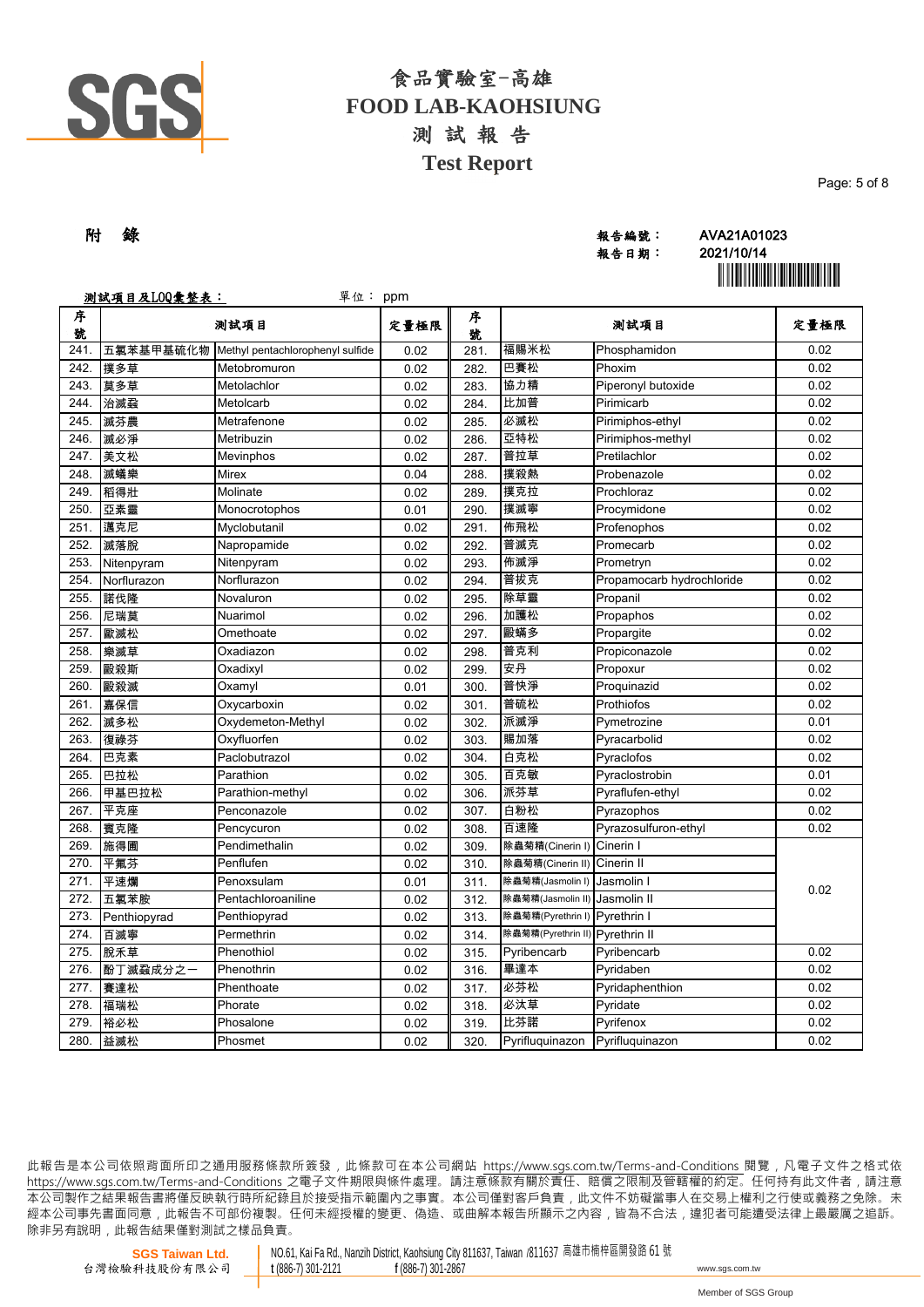

| 附 錄 | 報告編號: | AVA21A01023             |
|-----|-------|-------------------------|
|     | 報告日期: | 2021/10/14              |
|     |       | ,,,,,,,,,,,,,,,,,,,,,,, |

報告日期: 2021/10/14 **`** 

|        | 测試項目及LOQ彙整表:<br>單位: ppm |                                  |      |        |                                 |                           |      |
|--------|-------------------------|----------------------------------|------|--------|---------------------------------|---------------------------|------|
| 序<br>號 |                         | 测試項目                             | 定量極限 | 序<br>號 |                                 | 測試項目                      | 定量極限 |
| 241.   | 五氯苯基甲基硫化物               | Methyl pentachlorophenyl sulfide | 0.02 | 281.   | 福賜米松                            | Phosphamidon              | 0.02 |
| 242.   | 撲多草                     | Metobromuron                     | 0.02 | 282.   | 巴賽松                             | Phoxim                    | 0.02 |
| 243.   | 莫多草                     | Metolachlor                      | 0.02 | 283.   | 協力精                             | Piperonyl butoxide        | 0.02 |
| 244.   | 治滅蝨                     | Metolcarb                        | 0.02 | 284.   | 比加普                             | Pirimicarb                | 0.02 |
| 245.   | 滅芬農                     | Metrafenone                      | 0.02 | 285.   | 必滅松                             | Pirimiphos-ethyl          | 0.02 |
| 246.   | 滅必淨                     | Metribuzin                       | 0.02 | 286.   | 亞特松                             | Pirimiphos-methyl         | 0.02 |
| 247.   | 美文松                     | Mevinphos                        | 0.02 | 287.   | 普拉草                             | Pretilachlor              | 0.02 |
| 248.   | 滅蟻樂                     | Mirex                            | 0.04 | 288.   | 撲殺熱                             | Probenazole               | 0.02 |
| 249.   | 稻得壯                     | Molinate                         | 0.02 | 289.   | 撲克拉                             | Prochloraz                | 0.02 |
| 250.   | 亞素靈                     | Monocrotophos                    | 0.01 | 290.   | 撲滅寧                             | Procymidone               | 0.02 |
| 251.   | 邁克尼                     | Myclobutanil                     | 0.02 | 291.   | 佈飛松                             | Profenophos               | 0.02 |
| 252.   | 滅落脫                     | Napropamide                      | 0.02 | 292.   | 普滅克                             | Promecarb                 | 0.02 |
| 253.   | Nitenpyram              | Nitenpyram                       | 0.02 | 293.   | 佈滅淨                             | Prometryn                 | 0.02 |
| 254.   | Norflurazon             | Norflurazon                      | 0.02 | 294.   | 普拔克                             | Propamocarb hydrochloride | 0.02 |
| 255.   | 諾伐隆                     | Novaluron                        | 0.02 | 295.   | 除草靈                             | Propanil                  | 0.02 |
| 256.   | 尼瑞莫                     | Nuarimol                         | 0.02 | 296.   | 加護松                             | Propaphos                 | 0.02 |
| 257.   | 歐滅松                     | Omethoate                        | 0.02 | 297.   | 毆蟎多                             | Propargite                | 0.02 |
| 258.   | 樂滅草                     | Oxadiazon                        | 0.02 | 298.   | 普克利                             | Propiconazole             | 0.02 |
| 259.   | 毆殺斯                     | Oxadixyl                         | 0.02 | 299.   | 安丹                              | Propoxur                  | 0.02 |
| 260.   | 毆殺滅                     | Oxamyl                           | 0.01 | 300.   | 普快淨                             | Proquinazid               | 0.02 |
| 261.   | 嘉保信                     | Oxycarboxin                      | 0.02 | 301.   | 普硫松                             | Prothiofos                | 0.02 |
| 262.   | 滅多松                     | Oxydemeton-Methyl                | 0.02 | 302.   | 派滅淨                             | Pymetrozine               | 0.01 |
| 263.   | 復祿芬                     | Oxyfluorfen                      | 0.02 | 303.   | 賜加落                             | Pyracarbolid              | 0.02 |
| 264.   | 巴克素                     | Paclobutrazol                    | 0.02 | 304.   | 白克松                             | Pyraclofos                | 0.02 |
| 265.   | 巴拉松                     | Parathion                        | 0.02 | 305.   | 百克敏                             | Pyraclostrobin            | 0.01 |
| 266.   | 甲基巴拉松                   | Parathion-methyl                 | 0.02 | 306    | 派芬草                             | Pyraflufen-ethyl          | 0.02 |
| 267.   | 平克座                     | Penconazole                      | 0.02 | 307.   | 白粉松                             | Pyrazophos                | 0.02 |
| 268.   | 賓克隆                     | Pencycuron                       | 0.02 | 308.   | 百速隆                             | Pyrazosulfuron-ethyl      | 0.02 |
| 269.   | 施得圃                     | Pendimethalin                    | 0.02 | 309.   | 除蟲菊精(Cinerin I)                 | Cinerin I                 |      |
| 270.   | 平氟芬                     | Penflufen                        | 0.02 | 310.   | 除蟲菊精(Cinerin II)                | Cinerin II                |      |
| 271.   | 平速爛                     | Penoxsulam                       | 0.01 | 311.   | 除蟲菊精(Jasmolin I)                | Jasmolin I                | 0.02 |
| 272.   | 五氯苯胺                    | Pentachloroaniline               | 0.02 | 312.   | 除蟲菊精(Jasmolin II) Jasmolin II   |                           |      |
| 273.   | Penthiopyrad            | Penthiopyrad                     | 0.02 | 313.   | 除蟲菊精(Pyrethrin I) Pyrethrin I   |                           |      |
| 274.   | 百滅寧                     | Permethrin                       | 0.02 | 314.   | 除蟲菊精(Pyrethrin II) Pyrethrin II |                           |      |
| 275.   | 脫禾草                     | Phenothiol                       | 0.02 | 315.   | Pyribencarb                     | Pyribencarb               | 0.02 |
| 276.   | 酚丁滅蝨成分之一                | Phenothrin                       | 0.02 | 316.   | 畢達本                             | Pyridaben                 | 0.02 |
| 277.   | 賽達松                     | Phenthoate                       | 0.02 | 317.   | 必芬松                             | Pyridaphenthion           | 0.02 |
| 278.   | 福瑞松                     | Phorate                          | 0.02 | 318.   | 必汰草                             | Pyridate                  | 0.02 |
| 279.   | 裕必松                     | Phosalone                        | 0.02 | 319.   | 比芬諾                             | Pyrifenox                 | 0.02 |
| 280.   | 益滅松                     | Phosmet                          | 0.02 | 320.   | Pyrifluguinazon                 | Pyrifluquinazon           | 0.02 |

此報告是本公司依照背面所印之通用服務條款所簽發,此條款可在本公司網站 https://www.sgs.com.tw/Terms-and-Conditions 閱覽,凡電子文件之格式依 https://www.sas.com.tw/Terms-and-Conditions 之電子文件期限與條件處理。請注意條款有關於責任、賠償之限制及管轄權的約定。任何持有此文件者,請注意 .<br> 本公司製作之結果報告書將僅反映執行時所紀錄且於接受指示範圍內之事實。本公司僅對客戶負責, 此文件不妨礙當事人在交易上權利之行使或義務之免除。未 經本公司事先書面同意,此報告不可部份複製。任何未經授權的變更、偽造、或曲解本報告所顯示之內容,皆為不合法,違犯者可能遭受法律上最嚴厲之追訴。 除非另有說明, 此報告結果僅對測試之樣品負責。

NO.61, Kai Fa Rd., Nanzih District, Kaohsiung City 811637, Taiwan /811637 高雄市楠梓區開發路 61 號<br>t (886-7) 301-2121 f (886-7) 301-2867 **<sup>t</sup>** (886-7) 301-2121 **<sup>f</sup>** (886-7) 301-2867 www.sgs.com.tw Page: 5 of 8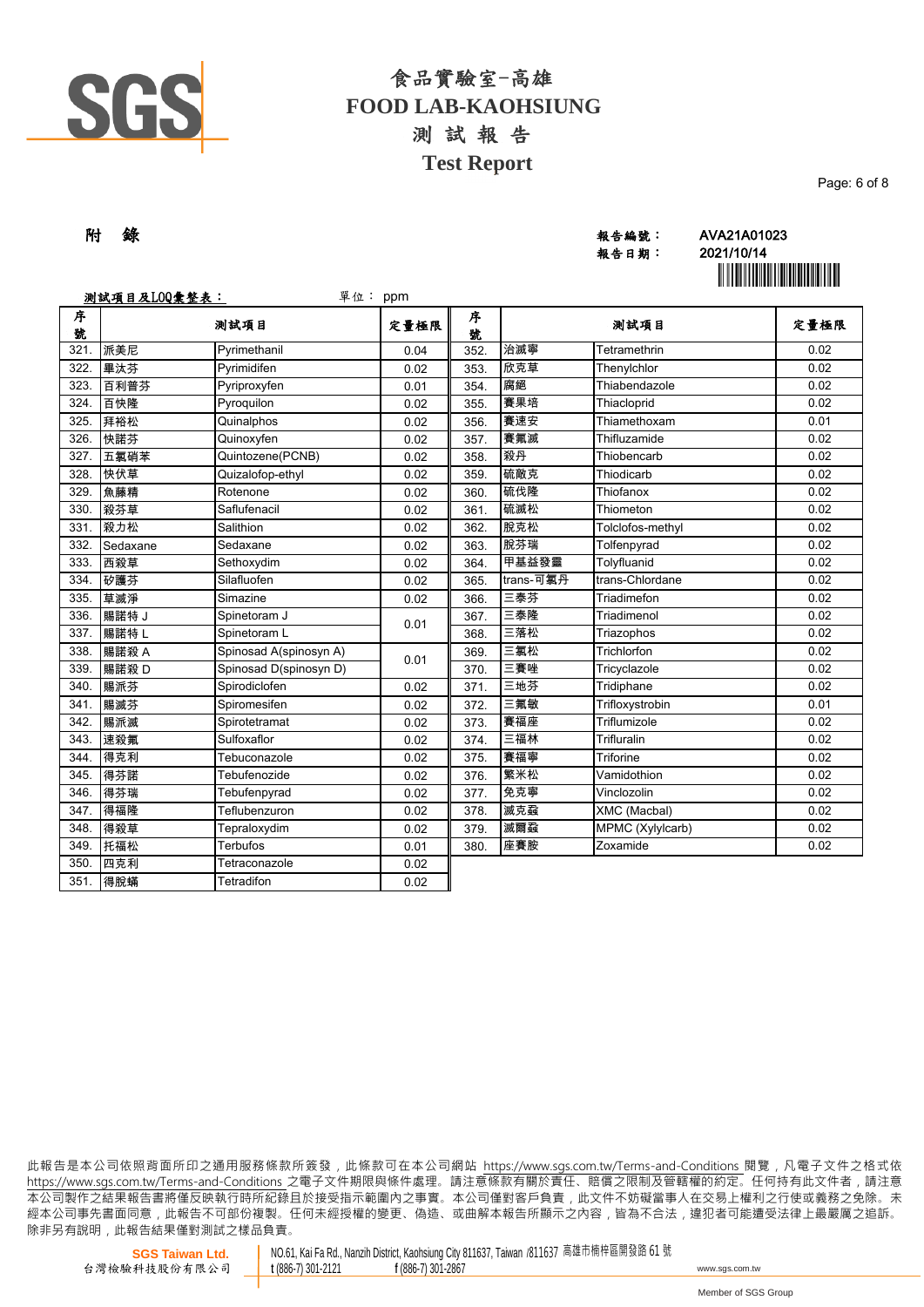

| 附 錄 | 報告編號: | AVA21A01023 |
|-----|-------|-------------|
|     | 報告日期: | 2021/10/14  |
|     |       |             |

報告日期: 2021/10/14 **`** 

Page: 6 of 8

|        | 测試項目及LOQ彙整表:<br>單位:<br>ppm |                        |      |        |           |                  |      |  |
|--------|----------------------------|------------------------|------|--------|-----------|------------------|------|--|
| 序<br>號 |                            | 测試項目                   | 定量極限 | 序<br>號 |           | 测試項目             | 定量極限 |  |
| 321.   | 派美尼                        | Pyrimethanil           | 0.04 | 352.   | 治滅寧       | Tetramethrin     | 0.02 |  |
| 322.   | 畢汰芬                        | Pyrimidifen            | 0.02 | 353.   | 欣克草       | Thenylchlor      | 0.02 |  |
| 323.   | 百利普芬                       | Pyriproxyfen           | 0.01 | 354.   | 腐絕        | Thiabendazole    | 0.02 |  |
| 324.   | 百快隆                        | Pyroquilon             | 0.02 | 355.   | 賽果培       | Thiacloprid      | 0.02 |  |
| 325.   | 拜裕松                        | Quinalphos             | 0.02 | 356    | 賽速安       | Thiamethoxam     | 0.01 |  |
| 326.   | 快諾芬                        | Quinoxyfen             | 0.02 | 357.   | 賽氟滅       | Thifluzamide     | 0.02 |  |
| 327.   | 五氯硝苯                       | Quintozene(PCNB)       | 0.02 | 358.   | 殺丹        | Thiobencarb      | 0.02 |  |
| 328.   | 快伏草                        | Quizalofop-ethyl       | 0.02 | 359    | 硫敵克       | Thiodicarb       | 0.02 |  |
| 329.   | 魚藤精                        | Rotenone               | 0.02 | 360    | 硫伐隆       | Thiofanox        | 0.02 |  |
| 330.   | 殺芬草                        | Saflufenacil           | 0.02 | 361.   | 硫滅松       | Thiometon        | 0.02 |  |
| 331.   | 殺力松                        | Salithion              | 0.02 | 362.   | 脫克松       | Tolclofos-methyl | 0.02 |  |
| 332.   | Sedaxane                   | Sedaxane               | 0.02 | 363.   | 脫芬瑞       | Tolfenpyrad      | 0.02 |  |
| 333.   | 西殺草                        | Sethoxydim             | 0.02 | 364.   | 甲基益發靈     | Tolyfluanid      | 0.02 |  |
| 334.   | 矽護芬                        | Silafluofen            | 0.02 | 365    | trans-可氯丹 | trans-Chlordane  | 0.02 |  |
| 335.   | 草滅淨                        | Simazine               | 0.02 | 366.   | 三泰芬       | Triadimefon      | 0.02 |  |
| 336.   | 賜諾特J                       | Spinetoram J           | 0.01 | 367.   | 三泰隆       | Triadimenol      | 0.02 |  |
| 337.   | 賜諾特L                       | Spinetoram L           |      | 368.   | 三落松       | Triazophos       | 0.02 |  |
| 338.   | 賜諾殺 A                      | Spinosad A(spinosyn A) | 0.01 | 369.   | 三氯松       | Trichlorfon      | 0.02 |  |
| 339.   | 賜諾殺D                       | Spinosad D(spinosyn D) |      | 370.   | 三賽唑       | Tricyclazole     | 0.02 |  |
| 340.   | 賜派芬                        | Spirodiclofen          | 0.02 | 371.   | 三地芬       | Tridiphane       | 0.02 |  |
| 341.   | 賜滅芬                        | Spiromesifen           | 0.02 | 372.   | 三氟敏       | Trifloxystrobin  | 0.01 |  |
| 342.   | 賜派滅                        | Spirotetramat          | 0.02 | 373.   | 賽福座       | Triflumizole     | 0.02 |  |
| 343.   | 速殺氟                        | Sulfoxaflor            | 0.02 | 374.   | 三福林       | Trifluralin      | 0.02 |  |
| 344.   | 得克利                        | Tebuconazole           | 0.02 | 375.   | 賽福寧       | Triforine        | 0.02 |  |
| 345.   | 得芬諾                        | Tebufenozide           | 0.02 | 376.   | 繁米松       | Vamidothion      | 0.02 |  |
| 346.   | 得芬瑞                        | Tebufenpyrad           | 0.02 | 377.   | 免克寧       | Vinclozolin      | 0.02 |  |
| 347.   | 得福隆                        | Teflubenzuron          | 0.02 | 378.   | 滅克蝨       | XMC (Macbal)     | 0.02 |  |
| 348.   | 得殺草                        | Tepraloxydim           | 0.02 | 379    | 滅爾蝨       | MPMC (Xylylcarb) | 0.02 |  |
| 349.   | 托福松                        | Terbufos               | 0.01 | 380.   | 座賽胺       | Zoxamide         | 0.02 |  |
| 350.   | 四克利                        | Tetraconazole          | 0.02 |        |           |                  |      |  |
| 351.   | 得脫蟎                        | Tetradifon             | 0.02 |        |           |                  |      |  |

此報告是本公司依照背面所印之通用服務條款所簽發,此條款可在本公司網站 https://www.sgs.com.tw/Terms-and-Conditions 閱覽,凡電子文件之格式依 https://www.sas.com.tw/Terms-and-Conditions 之電子文件期限與條件處理。請注意條款有關於責任、賠償之限制及管轄權的約定。任何持有此文件者,請注意 本 公 司 製 作 之 結 果 報 告 書 將 僅 反 映 執 行 時 所 紀 錄 且 於 接 受 指 示 範 圍 內 之 事 實 。 本 公 司 僅 對 客 戶 負 責 , 此 文 件 不 妨 礙 當 事 人 在 交 易 上 權 利 之 行 使 或 義 務 之 免 除 。 未 經 本 公 司 事 先 書 面 同 意 , 此 報 告 不 可 部 份 複 製 。 任 何 未 經 授 權 的 變 更 、 偽 造 、 或 曲 解 本 報 告 所 顯 示 之 內 容 , 皆 為 不 合 法 , 違 犯 者 可 能 遭 受 法 律 上 最 嚴 厲 之 追 訴 。 除非另有說明, 此報告結果僅對測試之樣品負責。

NO.61, Kai Fa Rd., Nanzih District, Kaohsiung City 811637, Taiwan /811637 高雄市楠梓區開發路 61 號<br>t (886-7) 301-2121 f (886-7) 301-2867 **<sup>t</sup>** (886-7) 301-2121 **<sup>f</sup>** (886-7) 301-2867 www.sgs.com.tw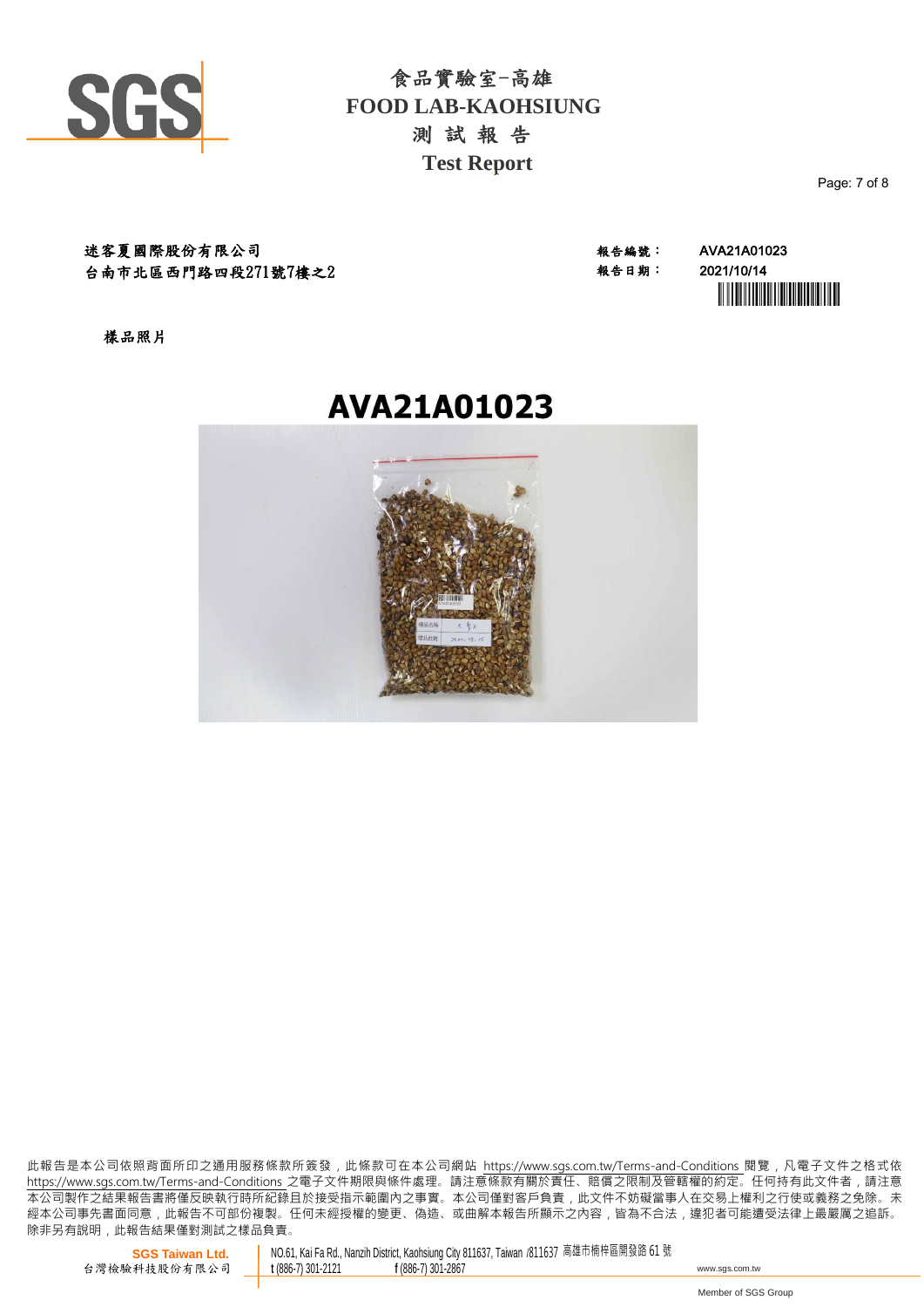

迷客夏國際股份有限公司 報告編號: AVA21A01023 台南市北區西門路四段271號7樓之2

報告日期: 2021/10/14 **`** 

樣品照片

# AVA21A01023



此報告是本公司依照背面所印之通用服務條款所簽發,此條款可在本公司網站 https://www.sgs.com.tw/Terms-and-Conditions 閱覽,凡電子文件之格式依 https://www.sas.com.tw/Terms-and-Conditions 之電子文件期限與條件處理。請注意條款有關於責任、賠償之限制及管轄權的約定。任何持有此文件者,請注意 本 公 司 製 作 之 結 果 報 告 書 將 僅 反 映 執 行 時 所 紀 錄 且 於 接 受 指 示 範 圍 內 之 事 實 。 本 公 司 僅 對 客 戶 負 責 , 此 文 件 不 妨 礙 當 事 人 在 交 易 上 權 利 之 行 使 或 義 務 之 免 除 。 未 經 本 公 司 事 先 書 面 同 意 , 此 報 告 不 可 部 份 複 製 。 任 何 未 經 授 權 的 變 更 、 偽 造 、 或 曲 解 本 報 告 所 顯 示 之 內 容 , 皆 為 不 合 法 , 違 犯 者 可 能 遭 受 法 律 上 最 嚴 厲 之 追 訴 。 除非另有說明, 此報告結果僅對測試之樣品負責。

**SGS Taiwan Ltd.** 台灣檢驗科技股份有限公司 NO.61, Kai Fa Rd., Nanzih District, Kaohsiung City 811637, Taiwan /811637 高雄市楠梓區開發路 61 號<br>t (886-7) 301-2121 f (886-7) 301-2867 **<sup>t</sup>** (886-7) 301-2121 **<sup>f</sup>** (886-7) 301-2867 www.sgs.com.tw

Member of SGS Group

Page: 7 of 8